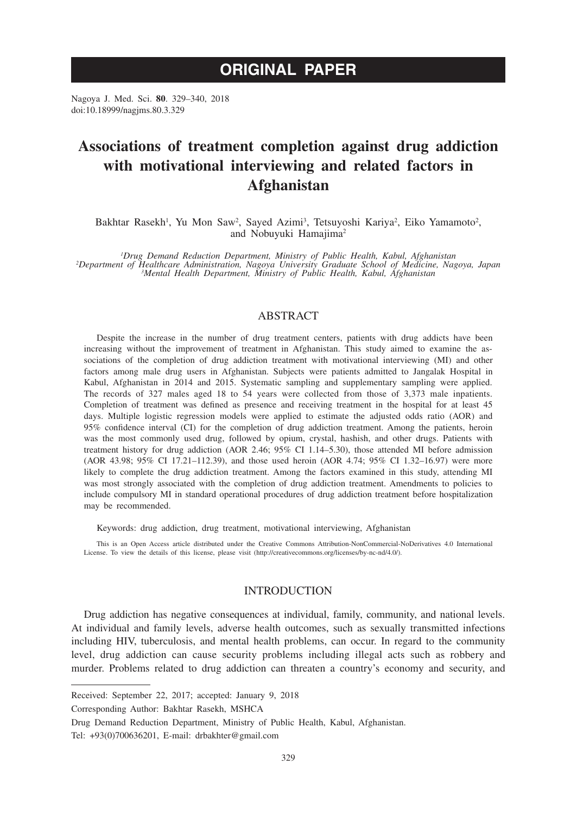# **ORIGINAL PAPER**

Nagoya J. Med. Sci. **80**. 329–340, 2018 doi:10.18999/nagjms.80.3.329

# **Associations of treatment completion against drug addiction with motivational interviewing and related factors in Afghanistan**

Bakhtar Rasekh<sup>1</sup>, Yu Mon Saw<sup>2</sup>, Sayed Azimi<sup>3</sup>, Tetsuyoshi Kariya<sup>2</sup>, Eiko Yamamoto<sup>2</sup>, and Nobuyuki Hamajima2

<sup>1</sup> *Drug Demand Reduction Department, Ministry of Public Health, Kabul, Afghanistan*<br><sup>2</sup> *Department of Healthcare Administration, Nagoya University Graduate School of Medicine, Nagoya, Japan<sup>2</sup><br><sup>3</sup> <i>Mental Health Departm Mental Health Department, Ministry of Public Health, Kabul, Afghanistan*

# ABSTRACT

Despite the increase in the number of drug treatment centers, patients with drug addicts have been increasing without the improvement of treatment in Afghanistan. This study aimed to examine the associations of the completion of drug addiction treatment with motivational interviewing (MI) and other factors among male drug users in Afghanistan. Subjects were patients admitted to Jangalak Hospital in Kabul, Afghanistan in 2014 and 2015. Systematic sampling and supplementary sampling were applied. The records of 327 males aged 18 to 54 years were collected from those of 3,373 male inpatients. Completion of treatment was defined as presence and receiving treatment in the hospital for at least 45 days. Multiple logistic regression models were applied to estimate the adjusted odds ratio (AOR) and 95% confidence interval (CI) for the completion of drug addiction treatment. Among the patients, heroin was the most commonly used drug, followed by opium, crystal, hashish, and other drugs. Patients with treatment history for drug addiction (AOR 2.46; 95% CI 1.14–5.30), those attended MI before admission (AOR 43.98; 95% CI 17.21–112.39), and those used heroin (AOR 4.74; 95% CI 1.32–16.97) were more likely to complete the drug addiction treatment. Among the factors examined in this study, attending MI was most strongly associated with the completion of drug addiction treatment. Amendments to policies to include compulsory MI in standard operational procedures of drug addiction treatment before hospitalization may be recommended.

Keywords: drug addiction, drug treatment, motivational interviewing, Afghanistan

This is an Open Access article distributed under the Creative Commons Attribution-NonCommercial-NoDerivatives 4.0 International License. To view the details of this license, please visit (http://creativecommons.org/licenses/by-nc-nd/4.0/).

### INTRODUCTION

Drug addiction has negative consequences at individual, family, community, and national levels. At individual and family levels, adverse health outcomes, such as sexually transmitted infections including HIV, tuberculosis, and mental health problems, can occur. In regard to the community level, drug addiction can cause security problems including illegal acts such as robbery and murder. Problems related to drug addiction can threaten a country's economy and security, and

Corresponding Author: Bakhtar Rasekh, MSHCA

Drug Demand Reduction Department, Ministry of Public Health, Kabul, Afghanistan.

Tel: +93(0)700636201, E-mail: drbakhter@gmail.com

Received: September 22, 2017; accepted: January 9, 2018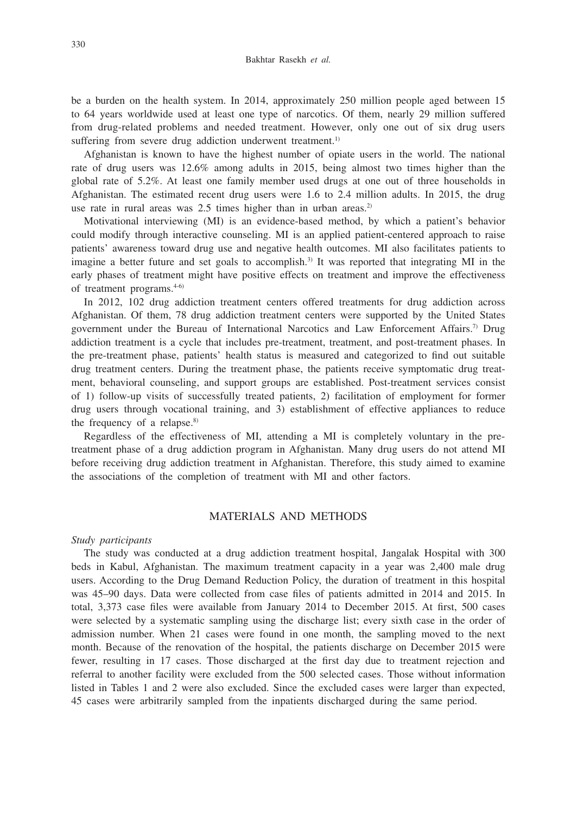be a burden on the health system. In 2014, approximately 250 million people aged between 15 to 64 years worldwide used at least one type of narcotics. Of them, nearly 29 million suffered from drug-related problems and needed treatment. However, only one out of six drug users suffering from severe drug addiction underwent treatment.<sup>1)</sup>

Afghanistan is known to have the highest number of opiate users in the world. The national rate of drug users was 12.6% among adults in 2015, being almost two times higher than the global rate of 5.2%. At least one family member used drugs at one out of three households in Afghanistan. The estimated recent drug users were 1.6 to 2.4 million adults. In 2015, the drug use rate in rural areas was 2.5 times higher than in urban areas.<sup>2)</sup>

Motivational interviewing (MI) is an evidence-based method, by which a patient's behavior could modify through interactive counseling. MI is an applied patient-centered approach to raise patients' awareness toward drug use and negative health outcomes. MI also facilitates patients to imagine a better future and set goals to accomplish.<sup>3)</sup> It was reported that integrating MI in the early phases of treatment might have positive effects on treatment and improve the effectiveness of treatment programs.4-6)

In 2012, 102 drug addiction treatment centers offered treatments for drug addiction across Afghanistan. Of them, 78 drug addiction treatment centers were supported by the United States government under the Bureau of International Narcotics and Law Enforcement Affairs.7) Drug addiction treatment is a cycle that includes pre-treatment, treatment, and post-treatment phases. In the pre-treatment phase, patients' health status is measured and categorized to find out suitable drug treatment centers. During the treatment phase, the patients receive symptomatic drug treatment, behavioral counseling, and support groups are established. Post-treatment services consist of 1) follow-up visits of successfully treated patients, 2) facilitation of employment for former drug users through vocational training, and 3) establishment of effective appliances to reduce the frequency of a relapse.<sup>8)</sup>

Regardless of the effectiveness of MI, attending a MI is completely voluntary in the pretreatment phase of a drug addiction program in Afghanistan. Many drug users do not attend MI before receiving drug addiction treatment in Afghanistan. Therefore, this study aimed to examine the associations of the completion of treatment with MI and other factors.

# MATERIALS AND METHODS

#### *Study participants*

The study was conducted at a drug addiction treatment hospital, Jangalak Hospital with 300 beds in Kabul, Afghanistan. The maximum treatment capacity in a year was 2,400 male drug users. According to the Drug Demand Reduction Policy, the duration of treatment in this hospital was 45–90 days. Data were collected from case files of patients admitted in 2014 and 2015. In total, 3,373 case files were available from January 2014 to December 2015. At first, 500 cases were selected by a systematic sampling using the discharge list; every sixth case in the order of admission number. When 21 cases were found in one month, the sampling moved to the next month. Because of the renovation of the hospital, the patients discharge on December 2015 were fewer, resulting in 17 cases. Those discharged at the first day due to treatment rejection and referral to another facility were excluded from the 500 selected cases. Those without information listed in Tables 1 and 2 were also excluded. Since the excluded cases were larger than expected, 45 cases were arbitrarily sampled from the inpatients discharged during the same period.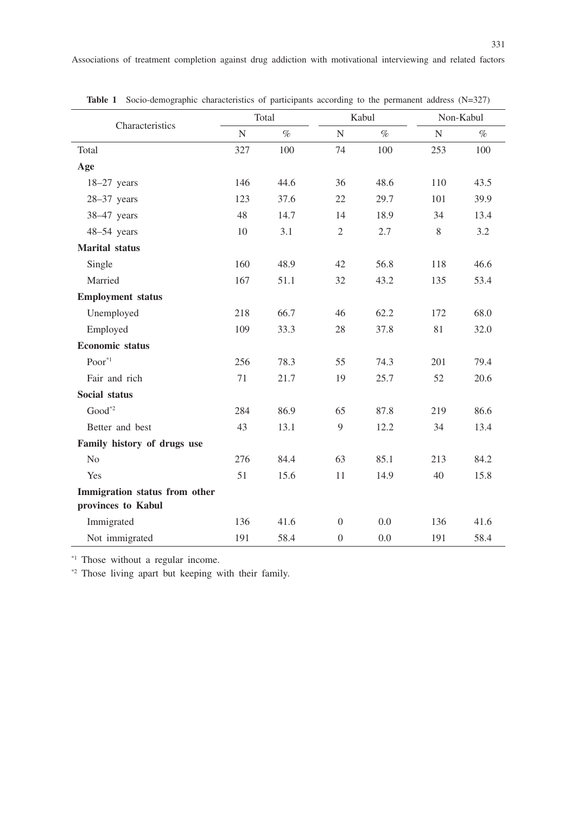| Characteristics                                     | Total     |      |                  | Kabul | Non-Kabul |      |
|-----------------------------------------------------|-----------|------|------------------|-------|-----------|------|
|                                                     | ${\bf N}$ | $\%$ | $\mathbf N$      | $\%$  | ${\bf N}$ | $\%$ |
| Total                                               | 327       | 100  | 74               | 100   | 253       | 100  |
| Age                                                 |           |      |                  |       |           |      |
| $18-27$ years                                       | 146       | 44.6 | 36               | 48.6  | 110       | 43.5 |
| $28-37$ years                                       | 123       | 37.6 | 22               | 29.7  | 101       | 39.9 |
| 38-47 years                                         | 48        | 14.7 | 14               | 18.9  | 34        | 13.4 |
| 48-54 years                                         | 10        | 3.1  | $\mathfrak{2}$   | 2.7   | 8         | 3.2  |
| <b>Marital</b> status                               |           |      |                  |       |           |      |
| Single                                              | 160       | 48.9 | 42               | 56.8  | 118       | 46.6 |
| Married                                             | 167       | 51.1 | 32               | 43.2  | 135       | 53.4 |
| <b>Employment status</b>                            |           |      |                  |       |           |      |
| Unemployed                                          | 218       | 66.7 | 46               | 62.2  | 172       | 68.0 |
| Employed                                            | 109       | 33.3 | 28               | 37.8  | 81        | 32.0 |
| <b>Economic</b> status                              |           |      |                  |       |           |      |
| $Poor^{\ast 1}$                                     | 256       | 78.3 | 55               | 74.3  | 201       | 79.4 |
| Fair and rich                                       | 71        | 21.7 | 19               | 25.7  | 52        | 20.6 |
| <b>Social status</b>                                |           |      |                  |       |           |      |
| $Good*2}$                                           | 284       | 86.9 | 65               | 87.8  | 219       | 86.6 |
| Better and best                                     | 43        | 13.1 | $\overline{9}$   | 12.2  | 34        | 13.4 |
| Family history of drugs use                         |           |      |                  |       |           |      |
| N <sub>0</sub>                                      | 276       | 84.4 | 63               | 85.1  | 213       | 84.2 |
| Yes                                                 | 51        | 15.6 | 11               | 14.9  | 40        | 15.8 |
| Immigration status from other<br>provinces to Kabul |           |      |                  |       |           |      |
| Immigrated                                          | 136       | 41.6 | $\Omega$         | 0.0   | 136       | 41.6 |
| Not immigrated                                      | 191       | 58.4 | $\boldsymbol{0}$ | 0.0   | 191       | 58.4 |

Table 1 Socio-demographic characteristics of participants according to the permanent address (N=327)

\*1 Those without a regular income.

\*2 Those living apart but keeping with their family.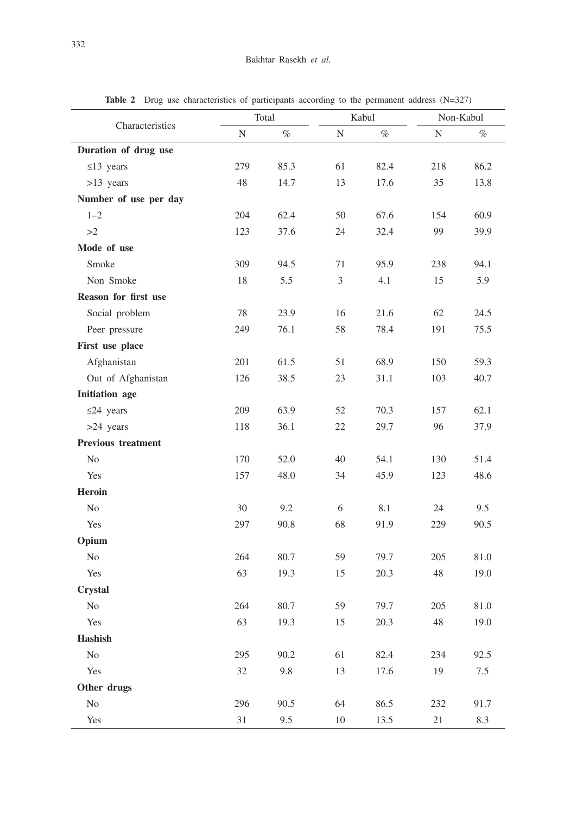| Characteristics           |     | Total |                | Kabul | Non-Kabul |      |  |
|---------------------------|-----|-------|----------------|-------|-----------|------|--|
|                           | N   | $\%$  | ${\bf N}$      | $\%$  | N         | $\%$ |  |
| Duration of drug use      |     |       |                |       |           |      |  |
| $\leq$ 13 years           | 279 | 85.3  | 61             | 82.4  | 218       | 86.2 |  |
| >13 years                 | 48  | 14.7  | 13             | 17.6  | 35        | 13.8 |  |
| Number of use per day     |     |       |                |       |           |      |  |
| $1 - 2$                   | 204 | 62.4  | 50             | 67.6  | 154       | 60.9 |  |
| >2                        | 123 | 37.6  | 24             | 32.4  | 99        | 39.9 |  |
| Mode of use               |     |       |                |       |           |      |  |
| Smoke                     | 309 | 94.5  | 71             | 95.9  | 238       | 94.1 |  |
| Non Smoke                 | 18  | 5.5   | $\mathfrak{Z}$ | 4.1   | 15        | 5.9  |  |
| Reason for first use      |     |       |                |       |           |      |  |
| Social problem            | 78  | 23.9  | 16             | 21.6  | 62        | 24.5 |  |
| Peer pressure             | 249 | 76.1  | 58             | 78.4  | 191       | 75.5 |  |
| First use place           |     |       |                |       |           |      |  |
| Afghanistan               | 201 | 61.5  | 51             | 68.9  | 150       | 59.3 |  |
| Out of Afghanistan        | 126 | 38.5  | 23             | 31.1  | 103       | 40.7 |  |
| <b>Initiation</b> age     |     |       |                |       |           |      |  |
| $\leq$ 24 years           | 209 | 63.9  | 52             | 70.3  | 157       | 62.1 |  |
| >24 years                 | 118 | 36.1  | 22             | 29.7  | 96        | 37.9 |  |
| <b>Previous treatment</b> |     |       |                |       |           |      |  |
| N <sub>0</sub>            | 170 | 52.0  | 40             | 54.1  | 130       | 51.4 |  |
| Yes                       | 157 | 48.0  | 34             | 45.9  | 123       | 48.6 |  |
| Heroin                    |     |       |                |       |           |      |  |
| N <sub>o</sub>            | 30  | 9.2   | 6              | 8.1   | 24        | 9.5  |  |
| Yes                       | 297 | 90.8  | 68             | 91.9  | 229       | 90.5 |  |
| Opium                     |     |       |                |       |           |      |  |
| N <sub>o</sub>            | 264 | 80.7  | 59             | 79.7  | 205       | 81.0 |  |
| Yes                       | 63  | 19.3  | 15             | 20.3  | 48        | 19.0 |  |
| Crystal                   |     |       |                |       |           |      |  |
| N <sub>o</sub>            | 264 | 80.7  | 59             | 79.7  | 205       | 81.0 |  |
| Yes                       | 63  | 19.3  | 15             | 20.3  | 48        | 19.0 |  |
| Hashish                   |     |       |                |       |           |      |  |
| $\rm No$                  | 295 | 90.2  | 61             | 82.4  | 234       | 92.5 |  |
| Yes                       | 32  | 9.8   | 13             | 17.6  | 19        | 7.5  |  |
| Other drugs               |     |       |                |       |           |      |  |
| $\rm No$                  | 296 | 90.5  | 64             | 86.5  | 232       | 91.7 |  |

Yes 31 9.5 10 13.5 21 8.3

Table 2 Drug use characteristics of participants according to the permanent address (N=327)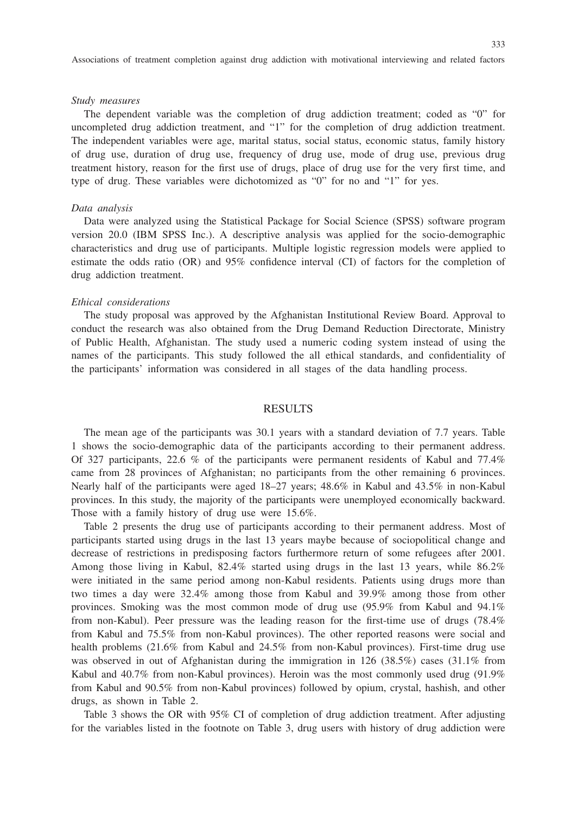#### *Study measures*

The dependent variable was the completion of drug addiction treatment; coded as "0" for uncompleted drug addiction treatment, and "1" for the completion of drug addiction treatment. The independent variables were age, marital status, social status, economic status, family history of drug use, duration of drug use, frequency of drug use, mode of drug use, previous drug treatment history, reason for the first use of drugs, place of drug use for the very first time, and type of drug. These variables were dichotomized as "0" for no and "1" for yes.

#### *Data analysis*

Data were analyzed using the Statistical Package for Social Science (SPSS) software program version 20.0 (IBM SPSS Inc.). A descriptive analysis was applied for the socio-demographic characteristics and drug use of participants. Multiple logistic regression models were applied to estimate the odds ratio (OR) and 95% confidence interval (CI) of factors for the completion of drug addiction treatment.

#### *Ethical considerations*

The study proposal was approved by the Afghanistan Institutional Review Board. Approval to conduct the research was also obtained from the Drug Demand Reduction Directorate, Ministry of Public Health, Afghanistan. The study used a numeric coding system instead of using the names of the participants. This study followed the all ethical standards, and confidentiality of the participants' information was considered in all stages of the data handling process.

## RESULTS

The mean age of the participants was 30.1 years with a standard deviation of 7.7 years. Table 1 shows the socio-demographic data of the participants according to their permanent address. Of 327 participants, 22.6 % of the participants were permanent residents of Kabul and 77.4% came from 28 provinces of Afghanistan; no participants from the other remaining 6 provinces. Nearly half of the participants were aged 18–27 years; 48.6% in Kabul and 43.5% in non-Kabul provinces. In this study, the majority of the participants were unemployed economically backward. Those with a family history of drug use were 15.6%.

Table 2 presents the drug use of participants according to their permanent address. Most of participants started using drugs in the last 13 years maybe because of sociopolitical change and decrease of restrictions in predisposing factors furthermore return of some refugees after 2001. Among those living in Kabul, 82.4% started using drugs in the last 13 years, while 86.2% were initiated in the same period among non-Kabul residents. Patients using drugs more than two times a day were 32.4% among those from Kabul and 39.9% among those from other provinces. Smoking was the most common mode of drug use (95.9% from Kabul and 94.1% from non-Kabul). Peer pressure was the leading reason for the first-time use of drugs (78.4% from Kabul and 75.5% from non-Kabul provinces). The other reported reasons were social and health problems (21.6% from Kabul and 24.5% from non-Kabul provinces). First-time drug use was observed in out of Afghanistan during the immigration in 126 (38.5%) cases (31.1% from Kabul and 40.7% from non-Kabul provinces). Heroin was the most commonly used drug (91.9% from Kabul and 90.5% from non-Kabul provinces) followed by opium, crystal, hashish, and other drugs, as shown in Table 2.

Table 3 shows the OR with 95% CI of completion of drug addiction treatment. After adjusting for the variables listed in the footnote on Table 3, drug users with history of drug addiction were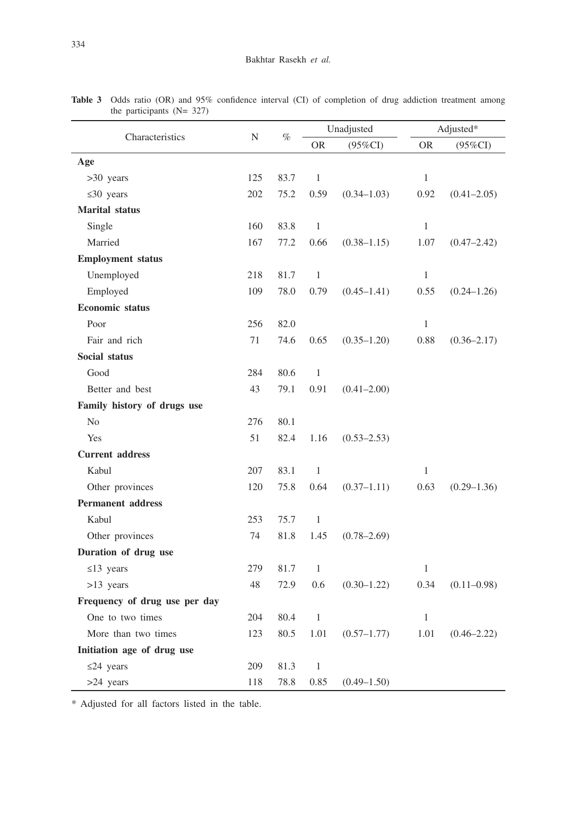| Characteristics               | N   | $\%$ | Unadjusted   |                 | Adjusted*    |                 |  |
|-------------------------------|-----|------|--------------|-----------------|--------------|-----------------|--|
|                               |     |      | <b>OR</b>    | $(95\%CI)$      | <b>OR</b>    | $(95\%CI)$      |  |
| Age                           |     |      |              |                 |              |                 |  |
| >30 years                     | 125 | 83.7 | $\mathbf{1}$ |                 | $\mathbf{1}$ |                 |  |
| $\leq 30$ years               | 202 | 75.2 | 0.59         | $(0.34 - 1.03)$ | 0.92         | $(0.41 - 2.05)$ |  |
| <b>Marital</b> status         |     |      |              |                 |              |                 |  |
| Single                        | 160 | 83.8 | $\mathbf{1}$ |                 | $\mathbf{1}$ |                 |  |
| Married                       | 167 | 77.2 | 0.66         | $(0.38 - 1.15)$ | 1.07         | $(0.47 - 2.42)$ |  |
| <b>Employment</b> status      |     |      |              |                 |              |                 |  |
| Unemployed                    | 218 | 81.7 | $\mathbf{1}$ |                 | $\mathbf{1}$ |                 |  |
| Employed                      | 109 | 78.0 | 0.79         | $(0.45 - 1.41)$ | 0.55         | $(0.24 - 1.26)$ |  |
| <b>Economic</b> status        |     |      |              |                 |              |                 |  |
| Poor                          | 256 | 82.0 |              |                 | $\,1$        |                 |  |
| Fair and rich                 | 71  | 74.6 | 0.65         | $(0.35 - 1.20)$ | 0.88         | $(0.36 - 2.17)$ |  |
| Social status                 |     |      |              |                 |              |                 |  |
| Good                          | 284 | 80.6 | $\mathbf{1}$ |                 |              |                 |  |
| Better and best               | 43  | 79.1 | 0.91         | $(0.41 - 2.00)$ |              |                 |  |
| Family history of drugs use   |     |      |              |                 |              |                 |  |
| N <sub>0</sub>                | 276 | 80.1 |              |                 |              |                 |  |
| Yes                           | 51  | 82.4 | 1.16         | $(0.53 - 2.53)$ |              |                 |  |
| <b>Current address</b>        |     |      |              |                 |              |                 |  |
| Kabul                         | 207 | 83.1 | $\mathbf{1}$ |                 | 1            |                 |  |
| Other provinces               | 120 | 75.8 | 0.64         | $(0.37 - 1.11)$ | 0.63         | $(0.29 - 1.36)$ |  |
| <b>Permanent address</b>      |     |      |              |                 |              |                 |  |
| Kabul                         | 253 | 75.7 | $\mathbf{1}$ |                 |              |                 |  |
| Other provinces               | 74  | 81.8 | 1.45         | $(0.78 - 2.69)$ |              |                 |  |
| Duration of drug use          |     |      |              |                 |              |                 |  |
| $\leq$ 13 years               | 279 | 81.7 | $\mathbf{1}$ |                 | $\mathbf{1}$ |                 |  |
| $>13$ years                   | 48  | 72.9 | 0.6          | $(0.30 - 1.22)$ | 0.34         | $(0.11 - 0.98)$ |  |
| Frequency of drug use per day |     |      |              |                 |              |                 |  |
| One to two times              | 204 | 80.4 | $\mathbf{1}$ |                 | $\mathbf{1}$ |                 |  |
| More than two times           | 123 | 80.5 | 1.01         | $(0.57 - 1.77)$ | 1.01         | $(0.46 - 2.22)$ |  |
| Initiation age of drug use    |     |      |              |                 |              |                 |  |
| $\leq$ 24 years               | 209 | 81.3 | $\mathbf{1}$ |                 |              |                 |  |
| >24 years                     | 118 | 78.8 | 0.85         | $(0.49 - 1.50)$ |              |                 |  |

Table 3 Odds ratio (OR) and 95% confidence interval (CI) of completion of drug addiction treatment among the participants (N= 327)

\* Adjusted for all factors listed in the table.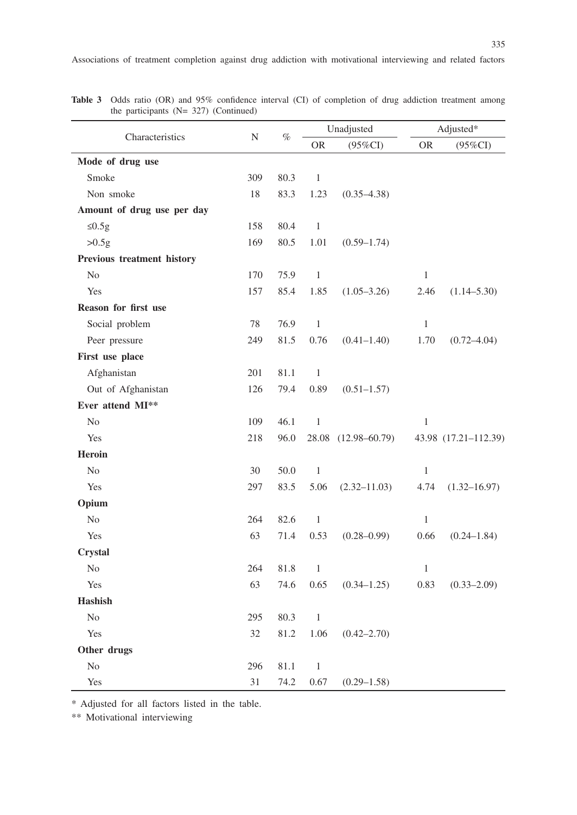| Characteristics            |           | $\%$ | Unadjusted   |                     | Adjusted*    |                      |
|----------------------------|-----------|------|--------------|---------------------|--------------|----------------------|
|                            | ${\bf N}$ |      | <b>OR</b>    | $(95\%CI)$          | <b>OR</b>    | $(95\%CI)$           |
| Mode of drug use           |           |      |              |                     |              |                      |
| Smoke                      | 309       | 80.3 | $\mathbf{1}$ |                     |              |                      |
| Non smoke                  | 18        | 83.3 | 1.23         | $(0.35 - 4.38)$     |              |                      |
| Amount of drug use per day |           |      |              |                     |              |                      |
| $\leq 0.5g$                | 158       | 80.4 | $\,1\,$      |                     |              |                      |
| >0.5g                      | 169       | 80.5 | 1.01         | $(0.59 - 1.74)$     |              |                      |
| Previous treatment history |           |      |              |                     |              |                      |
| N <sub>o</sub>             | 170       | 75.9 | $\mathbf{1}$ |                     | $\mathbf{1}$ |                      |
| Yes                        | 157       | 85.4 | 1.85         | $(1.05 - 3.26)$     | 2.46         | $(1.14 - 5.30)$      |
| Reason for first use       |           |      |              |                     |              |                      |
| Social problem             | $78\,$    | 76.9 | $\mathbf{1}$ |                     | $\mathbf{1}$ |                      |
| Peer pressure              | 249       | 81.5 | 0.76         | $(0.41 - 1.40)$     | 1.70         | $(0.72 - 4.04)$      |
| First use place            |           |      |              |                     |              |                      |
| Afghanistan                | 201       | 81.1 | $\mathbf{1}$ |                     |              |                      |
| Out of Afghanistan         | 126       | 79.4 | 0.89         | $(0.51 - 1.57)$     |              |                      |
| Ever attend MI**           |           |      |              |                     |              |                      |
| No                         | 109       | 46.1 | $\,1\,$      |                     | $\,1$        |                      |
| Yes                        | 218       | 96.0 |              | 28.08 (12.98-60.79) |              | 43.98 (17.21-112.39) |
| Heroin                     |           |      |              |                     |              |                      |
| No                         | 30        | 50.0 | $\mathbf{1}$ |                     | $\mathbf{1}$ |                      |
| Yes                        | 297       | 83.5 | 5.06         | $(2.32 - 11.03)$    | 4.74         | $(1.32 - 16.97)$     |
| Opium                      |           |      |              |                     |              |                      |
| No                         | 264       | 82.6 | $\,1\,$      |                     | $\,1$        |                      |
| Yes                        | 63        | 71.4 | 0.53         | $(0.28 - 0.99)$     | 0.66         | $(0.24 - 1.84)$      |
| Crystal                    |           |      |              |                     |              |                      |
| $\rm No$                   | 264       | 81.8 | $\,1$        |                     | $\mathbf{1}$ |                      |
| Yes                        | 63        | 74.6 | 0.65         | $(0.34 - 1.25)$     | 0.83         | $(0.33 - 2.09)$      |
| <b>Hashish</b>             |           |      |              |                     |              |                      |
| No                         | 295       | 80.3 | $\mathbf{1}$ |                     |              |                      |
| Yes                        | 32        | 81.2 | 1.06         | $(0.42 - 2.70)$     |              |                      |
| Other drugs                |           |      |              |                     |              |                      |
| No                         | 296       | 81.1 | $\mathbf{1}$ |                     |              |                      |
| Yes                        | 31        | 74.2 | 0.67         | $(0.29 - 1.58)$     |              |                      |

Table 3 Odds ratio (OR) and 95% confidence interval (CI) of completion of drug addiction treatment among the participants (N= 327) (Continued)

\* Adjusted for all factors listed in the table.

\*\* Motivational interviewing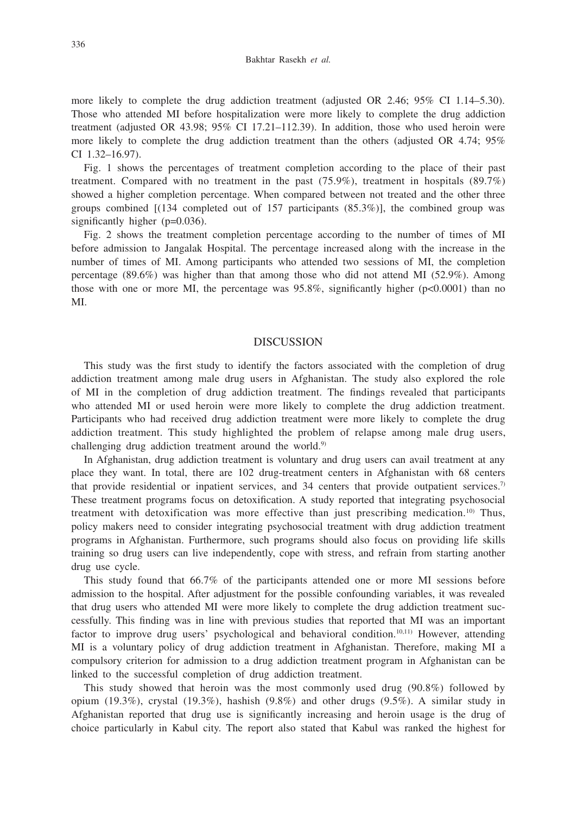more likely to complete the drug addiction treatment (adjusted OR 2.46; 95% CI 1.14–5.30). Those who attended MI before hospitalization were more likely to complete the drug addiction treatment (adjusted OR 43.98; 95% CI 17.21–112.39). In addition, those who used heroin were more likely to complete the drug addiction treatment than the others (adjusted OR 4.74; 95% CI 1.32–16.97).

Fig. 1 shows the percentages of treatment completion according to the place of their past treatment. Compared with no treatment in the past  $(75.9\%)$ , treatment in hospitals  $(89.7\%)$ showed a higher completion percentage. When compared between not treated and the other three groups combined [(134 completed out of 157 participants (85.3%)], the combined group was significantly higher (p=0.036).

Fig. 2 shows the treatment completion percentage according to the number of times of MI before admission to Jangalak Hospital. The percentage increased along with the increase in the number of times of MI. Among participants who attended two sessions of MI, the completion percentage (89.6%) was higher than that among those who did not attend MI (52.9%). Among those with one or more MI, the percentage was  $95.8\%$ , significantly higher (p<0.0001) than no MI.

### DISCUSSION

This study was the first study to identify the factors associated with the completion of drug addiction treatment among male drug users in Afghanistan. The study also explored the role of MI in the completion of drug addiction treatment. The findings revealed that participants who attended MI or used heroin were more likely to complete the drug addiction treatment. Participants who had received drug addiction treatment were more likely to complete the drug addiction treatment. This study highlighted the problem of relapse among male drug users, challenging drug addiction treatment around the world.<sup>9)</sup>

In Afghanistan, drug addiction treatment is voluntary and drug users can avail treatment at any place they want. In total, there are 102 drug-treatment centers in Afghanistan with 68 centers that provide residential or inpatient services, and  $34$  centers that provide outpatient services.<sup>7)</sup> These treatment programs focus on detoxification. A study reported that integrating psychosocial treatment with detoxification was more effective than just prescribing medication.<sup>10)</sup> Thus, policy makers need to consider integrating psychosocial treatment with drug addiction treatment programs in Afghanistan. Furthermore, such programs should also focus on providing life skills training so drug users can live independently, cope with stress, and refrain from starting another drug use cycle.

This study found that 66.7% of the participants attended one or more MI sessions before admission to the hospital. After adjustment for the possible confounding variables, it was revealed that drug users who attended MI were more likely to complete the drug addiction treatment successfully. This finding was in line with previous studies that reported that MI was an important factor to improve drug users' psychological and behavioral condition.<sup>10,11)</sup> However, attending MI is a voluntary policy of drug addiction treatment in Afghanistan. Therefore, making MI a compulsory criterion for admission to a drug addiction treatment program in Afghanistan can be linked to the successful completion of drug addiction treatment.

This study showed that heroin was the most commonly used drug (90.8%) followed by opium (19.3%), crystal (19.3%), hashish  $(9.8\%)$  and other drugs  $(9.5\%)$ . A similar study in Afghanistan reported that drug use is significantly increasing and heroin usage is the drug of choice particularly in Kabul city. The report also stated that Kabul was ranked the highest for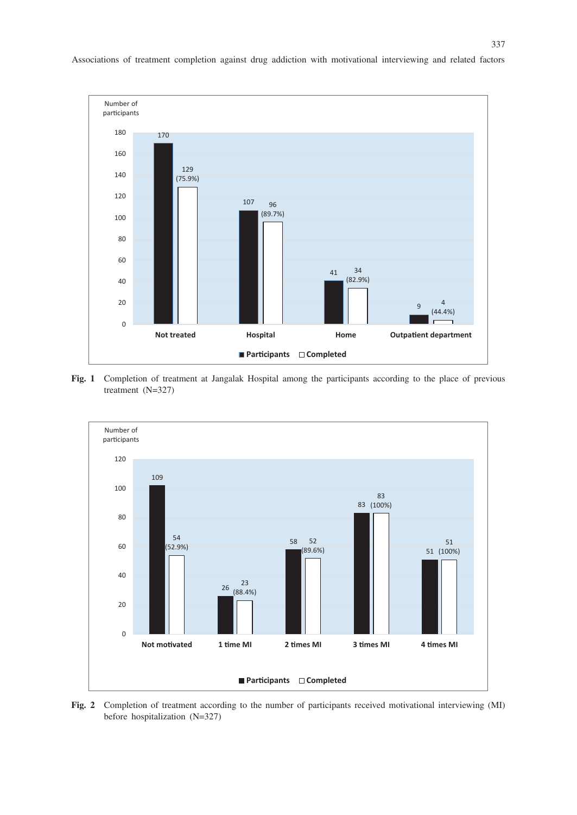

Associations of treatment completion against drug addiction with motivational interviewing and related factors

**Fig. 1** Completion of treatment at Jangalak Hospital among the participants according to the place of previous treatment (N=327)



**Fig. 2** Completion of treatment according to the number of participants received motivational interviewing (MI) before hospitalization (N=327)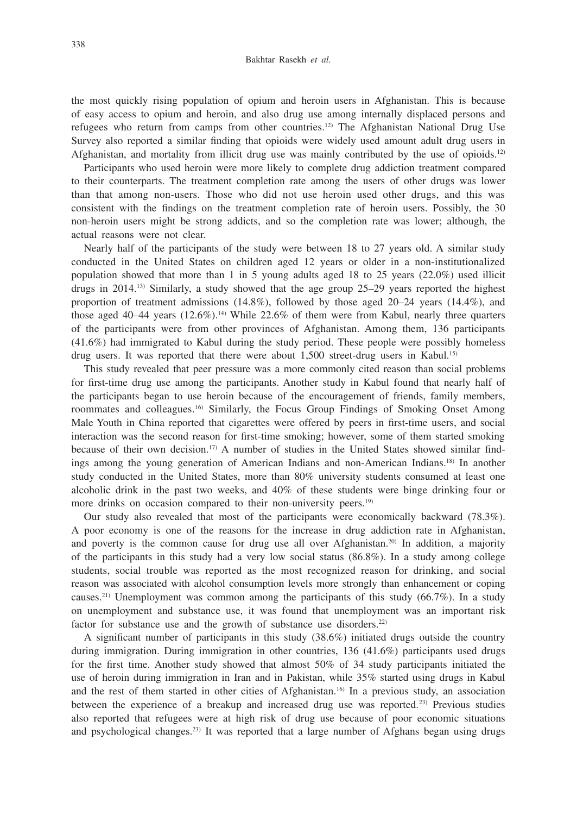the most quickly rising population of opium and heroin users in Afghanistan. This is because of easy access to opium and heroin, and also drug use among internally displaced persons and refugees who return from camps from other countries.12) The Afghanistan National Drug Use Survey also reported a similar finding that opioids were widely used amount adult drug users in Afghanistan, and mortality from illicit drug use was mainly contributed by the use of opioids.12)

Participants who used heroin were more likely to complete drug addiction treatment compared to their counterparts. The treatment completion rate among the users of other drugs was lower than that among non-users. Those who did not use heroin used other drugs, and this was consistent with the findings on the treatment completion rate of heroin users. Possibly, the 30 non-heroin users might be strong addicts, and so the completion rate was lower; although, the actual reasons were not clear.

Nearly half of the participants of the study were between 18 to 27 years old. A similar study conducted in the United States on children aged 12 years or older in a non-institutionalized population showed that more than 1 in 5 young adults aged 18 to 25 years (22.0%) used illicit drugs in 2014.13) Similarly, a study showed that the age group 25–29 years reported the highest proportion of treatment admissions  $(14.8\%)$ , followed by those aged 20–24 years  $(14.4\%)$ , and those aged  $40-44$  years  $(12.6\%)$ .<sup>14)</sup> While 22.6% of them were from Kabul, nearly three quarters of the participants were from other provinces of Afghanistan. Among them, 136 participants (41.6%) had immigrated to Kabul during the study period. These people were possibly homeless drug users. It was reported that there were about 1,500 street-drug users in Kabul.<sup>15)</sup>

This study revealed that peer pressure was a more commonly cited reason than social problems for first-time drug use among the participants. Another study in Kabul found that nearly half of the participants began to use heroin because of the encouragement of friends, family members, roommates and colleagues.16) Similarly, the Focus Group Findings of Smoking Onset Among Male Youth in China reported that cigarettes were offered by peers in first-time users, and social interaction was the second reason for first-time smoking; however, some of them started smoking because of their own decision.<sup>17)</sup> A number of studies in the United States showed similar findings among the young generation of American Indians and non-American Indians.18) In another study conducted in the United States, more than 80% university students consumed at least one alcoholic drink in the past two weeks, and 40% of these students were binge drinking four or more drinks on occasion compared to their non-university peers.<sup>19)</sup>

Our study also revealed that most of the participants were economically backward (78.3%). A poor economy is one of the reasons for the increase in drug addiction rate in Afghanistan, and poverty is the common cause for drug use all over Afghanistan.20) In addition, a majority of the participants in this study had a very low social status (86.8%). In a study among college students, social trouble was reported as the most recognized reason for drinking, and social reason was associated with alcohol consumption levels more strongly than enhancement or coping causes.<sup>21)</sup> Unemployment was common among the participants of this study  $(66.7\%)$ . In a study on unemployment and substance use, it was found that unemployment was an important risk factor for substance use and the growth of substance use disorders.<sup>22)</sup>

A significant number of participants in this study (38.6%) initiated drugs outside the country during immigration. During immigration in other countries, 136 (41.6%) participants used drugs for the first time. Another study showed that almost 50% of 34 study participants initiated the use of heroin during immigration in Iran and in Pakistan, while 35% started using drugs in Kabul and the rest of them started in other cities of Afghanistan.16) In a previous study, an association between the experience of a breakup and increased drug use was reported.23) Previous studies also reported that refugees were at high risk of drug use because of poor economic situations and psychological changes.<sup>23)</sup> It was reported that a large number of Afghans began using drugs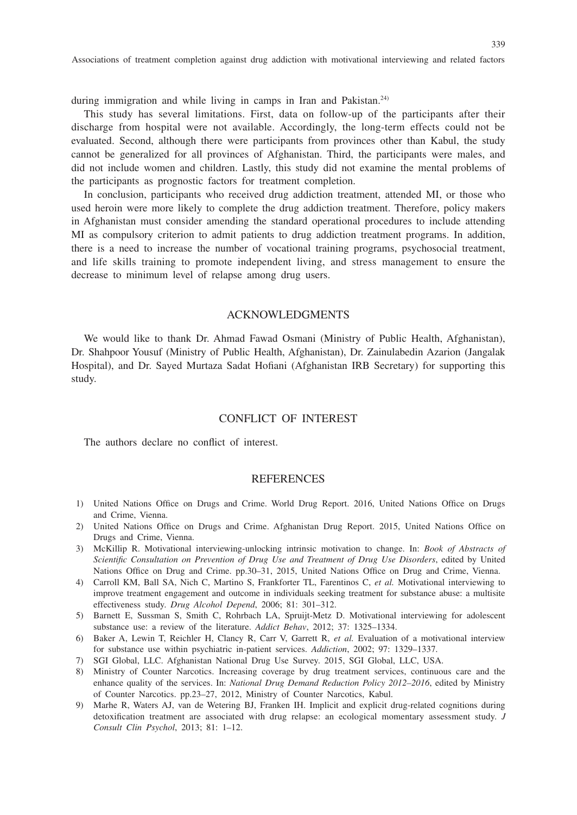Associations of treatment completion against drug addiction with motivational interviewing and related factors

during immigration and while living in camps in Iran and Pakistan.<sup>24)</sup>

This study has several limitations. First, data on follow-up of the participants after their discharge from hospital were not available. Accordingly, the long-term effects could not be evaluated. Second, although there were participants from provinces other than Kabul, the study cannot be generalized for all provinces of Afghanistan. Third, the participants were males, and did not include women and children. Lastly, this study did not examine the mental problems of the participants as prognostic factors for treatment completion.

In conclusion, participants who received drug addiction treatment, attended MI, or those who used heroin were more likely to complete the drug addiction treatment. Therefore, policy makers in Afghanistan must consider amending the standard operational procedures to include attending MI as compulsory criterion to admit patients to drug addiction treatment programs. In addition, there is a need to increase the number of vocational training programs, psychosocial treatment, and life skills training to promote independent living, and stress management to ensure the decrease to minimum level of relapse among drug users.

#### ACKNOWLEDGMENTS

We would like to thank Dr. Ahmad Fawad Osmani (Ministry of Public Health, Afghanistan), Dr. Shahpoor Yousuf (Ministry of Public Health, Afghanistan), Dr. Zainulabedin Azarion (Jangalak Hospital), and Dr. Sayed Murtaza Sadat Hofiani (Afghanistan IRB Secretary) for supporting this study.

### CONFLICT OF INTEREST

The authors declare no conflict of interest.

## **REFERENCES**

- 1) United Nations Office on Drugs and Crime. World Drug Report. 2016, United Nations Office on Drugs and Crime, Vienna.
- 2) United Nations Office on Drugs and Crime. Afghanistan Drug Report. 2015, United Nations Office on Drugs and Crime, Vienna.
- 3) McKillip R. Motivational interviewing-unlocking intrinsic motivation to change. In: *Book of Abstracts of Scientific Consultation on Prevention of Drug Use and Treatment of Drug Use Disorders*, edited by United Nations Office on Drug and Crime. pp.30–31, 2015, United Nations Office on Drug and Crime, Vienna.
- 4) Carroll KM, Ball SA, Nich C, Martino S, Frankforter TL, Farentinos C, *et al.* Motivational interviewing to improve treatment engagement and outcome in individuals seeking treatment for substance abuse: a multisite effectiveness study. *Drug Alcohol Depend*, 2006; 81: 301–312.
- 5) Barnett E, Sussman S, Smith C, Rohrbach LA, Spruijt-Metz D. Motivational interviewing for adolescent substance use: a review of the literature. *Addict Behav*, 2012; 37: 1325–1334.
- 6) Baker A, Lewin T, Reichler H, Clancy R, Carr V, Garrett R, *et al.* Evaluation of a motivational interview for substance use within psychiatric in-patient services. *Addiction*, 2002; 97: 1329–1337.
- 7) SGI Global, LLC. Afghanistan National Drug Use Survey. 2015, SGI Global, LLC, USA.
- 8) Ministry of Counter Narcotics. Increasing coverage by drug treatment services, continuous care and the enhance quality of the services. In: *National Drug Demand Reduction Policy 2012–2016*, edited by Ministry of Counter Narcotics. pp.23–27, 2012, Ministry of Counter Narcotics, Kabul.
- 9) Marhe R, Waters AJ, van de Wetering BJ, Franken IH. Implicit and explicit drug-related cognitions during detoxification treatment are associated with drug relapse: an ecological momentary assessment study. *J Consult Clin Psychol*, 2013; 81: 1–12.